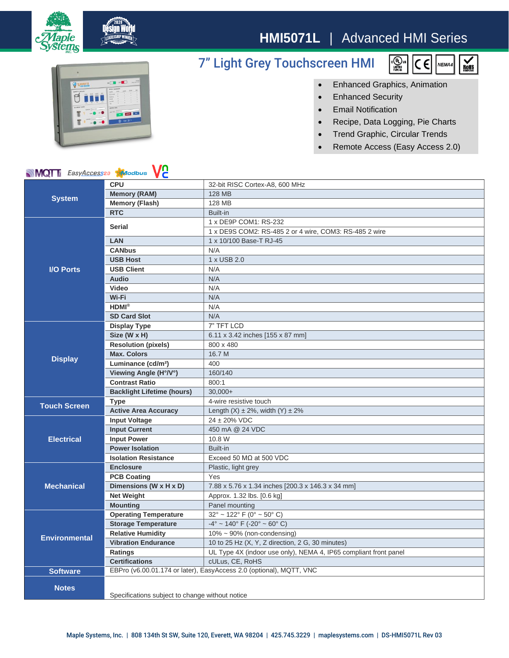

## **HMI5071L** | Advanced HMI Series

## 7" Light Grey Touchscreen HMI





• Enhanced Graphics, Animation

- Enhanced Security
- Email Notification
- Recipe, Data Logging, Pie Charts
- Trend Graphic, Circular Trends
- Remote Access (Easy Access 2.0)

## **MQT** EasyAccess20 Maodbus VC

| <b>NIVIQI</b> I <i>zasyAccess</i> <sup>20</sup><br><b>XI</b> JOQDUS<br>V C |                                                                     |                                                                  |
|----------------------------------------------------------------------------|---------------------------------------------------------------------|------------------------------------------------------------------|
| <b>System</b>                                                              | <b>CPU</b>                                                          | 32-bit RISC Cortex-A8, 600 MHz                                   |
|                                                                            | <b>Memory (RAM)</b>                                                 | 128 MB                                                           |
|                                                                            | <b>Memory (Flash)</b>                                               | 128 MB                                                           |
|                                                                            | <b>RTC</b>                                                          | Built-in                                                         |
| <b>I/O Ports</b>                                                           | <b>Serial</b>                                                       | 1 x DE9P COM1: RS-232                                            |
|                                                                            |                                                                     | 1 x DE9S COM2: RS-485 2 or 4 wire, COM3: RS-485 2 wire           |
|                                                                            | <b>LAN</b>                                                          | 1 x 10/100 Base-T RJ-45                                          |
|                                                                            | <b>CANbus</b>                                                       | N/A                                                              |
|                                                                            | <b>USB Host</b>                                                     | 1 x USB 2.0                                                      |
|                                                                            | <b>USB Client</b>                                                   | N/A                                                              |
|                                                                            | Audio                                                               | N/A                                                              |
|                                                                            | <b>Video</b>                                                        | N/A                                                              |
|                                                                            | Wi-Fi                                                               | N/A                                                              |
|                                                                            | $HDMI^{\otimes}$                                                    | N/A                                                              |
|                                                                            | <b>SD Card Slot</b>                                                 | N/A                                                              |
| <b>Display</b>                                                             | <b>Display Type</b>                                                 | 7" TFT LCD                                                       |
|                                                                            | Size (W x H)                                                        | 6.11 x 3.42 inches [155 x 87 mm]                                 |
|                                                                            | <b>Resolution (pixels)</b>                                          | 800 x 480                                                        |
|                                                                            | <b>Max. Colors</b>                                                  | 16.7 M                                                           |
|                                                                            | Luminance (cd/m <sup>2</sup> )                                      | 400                                                              |
|                                                                            | Viewing Angle (H°/V°)                                               | 160/140                                                          |
|                                                                            | <b>Contrast Ratio</b>                                               | 800:1                                                            |
|                                                                            | <b>Backlight Lifetime (hours)</b>                                   | $30.000+$                                                        |
| <b>Touch Screen</b>                                                        | <b>Type</b>                                                         | 4-wire resistive touch                                           |
|                                                                            | <b>Active Area Accuracy</b>                                         | Length $(X) \pm 2\%$ , width $(Y) \pm 2\%$                       |
| <b>Electrical</b>                                                          | <b>Input Voltage</b>                                                | $24 \pm 20\%$ VDC                                                |
|                                                                            | <b>Input Current</b>                                                | 450 mA @ 24 VDC                                                  |
|                                                                            | <b>Input Power</b>                                                  | 10.8 W                                                           |
|                                                                            | <b>Power Isolation</b>                                              | Built-in                                                         |
|                                                                            | <b>Isolation Resistance</b>                                         | Exceed 50 $M\Omega$ at 500 VDC                                   |
| <b>Mechanical</b>                                                          | <b>Enclosure</b>                                                    | Plastic, light grey                                              |
|                                                                            | <b>PCB Coating</b>                                                  | Yes                                                              |
|                                                                            | Dimensions (W x H x D)                                              | 7.88 x 5.76 x 1.34 inches [200.3 x 146.3 x 34 mm]                |
|                                                                            | <b>Net Weight</b>                                                   | Approx. 1.32 lbs. [0.6 kg]                                       |
|                                                                            | <b>Mounting</b>                                                     | Panel mounting                                                   |
| <b>Environmental</b>                                                       | <b>Operating Temperature</b>                                        | $32^{\circ}$ ~ 122° F (0° ~ 50° C)                               |
|                                                                            | <b>Storage Temperature</b>                                          | $-4^{\circ}$ ~ 140° F (-20° ~ 60° C)                             |
|                                                                            | <b>Relative Humidity</b>                                            | $10\% \sim 90\%$ (non-condensing)                                |
|                                                                            | <b>Vibration Endurance</b>                                          | 10 to 25 Hz (X, Y, Z direction, 2 G, 30 minutes)                 |
|                                                                            | Ratings                                                             | UL Type 4X (indoor use only), NEMA 4, IP65 compliant front panel |
|                                                                            | <b>Certifications</b>                                               | cULus, CE, RoHS                                                  |
| <b>Software</b>                                                            | EBPro (v6.00.01.174 or later), EasyAccess 2.0 (optional), MQTT, VNC |                                                                  |
| <b>Notes</b>                                                               |                                                                     |                                                                  |
|                                                                            |                                                                     |                                                                  |
|                                                                            | Specifications subject to change without notice                     |                                                                  |